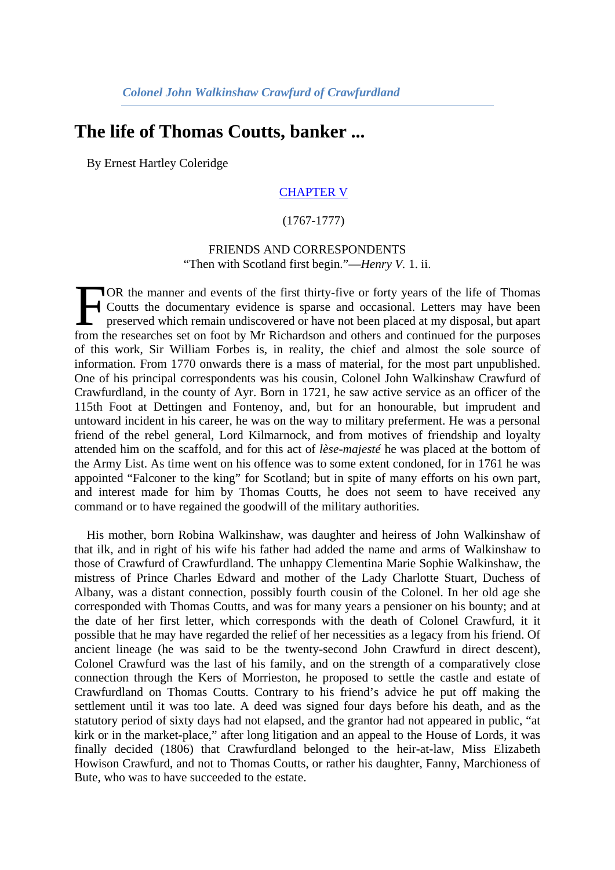## **The life of Thomas Coutts, banker ...**

By Ernest Hartley Coleridge

## [CHAPTER V](http://books.google.com/books?id=o1xnAAAAMAAJ&dq=Life%20of%20Thomas%20Coutts%2C%20Banker%2C%20by%20Mr.%20E.%20Hartley%20Coleridge&pg=PA61#v=onepage&q&f=false)

## (1767-1777)

## FRIENDS AND CORRESPONDENTS "Then with Scotland first begin."—*Henry V.* 1. ii.

OR the manner and events of the first thirty-five or forty years of the life of Thomas Coutts the documentary evidence is sparse and occasional. Letters may have been preserved which remain undiscovered or have not been placed at my disposal, but apart FOR the manner and events of the first thirty-five or forty years of the life of Thomas<br>Coutts the documentary evidence is sparse and occasional. Letters may have been<br>preserved which remain undiscovered or have not been p of this work, Sir William Forbes is, in reality, the chief and almost the sole source of information. From 1770 onwards there is a mass of material, for the most part unpublished. One of his principal correspondents was his cousin, Colonel John Walkinshaw Crawfurd of Crawfurdland, in the county of Ayr. Born in 1721, he saw active service as an officer of the 115th Foot at Dettingen and Fontenoy, and, but for an honourable, but imprudent and untoward incident in his career, he was on the way to military preferment. He was a personal friend of the rebel general, Lord Kilmarnock, and from motives of friendship and loyalty attended him on the scaffold, and for this act of *lèse-majesté* he was placed at the bottom of the Army List. As time went on his offence was to some extent condoned, for in 1761 he was appointed "Falconer to the king" for Scotland; but in spite of many efforts on his own part, and interest made for him by Thomas Coutts, he does not seem to have received any command or to have regained the goodwill of the military authorities.

His mother, born Robina Walkinshaw, was daughter and heiress of John Walkinshaw of that ilk, and in right of his wife his father had added the name and arms of Walkinshaw to those of Crawfurd of Crawfurdland. The unhappy Clementina Marie Sophie Walkinshaw, the mistress of Prince Charles Edward and mother of the Lady Charlotte Stuart, Duchess of Albany, was a distant connection, possibly fourth cousin of the Colonel. In her old age she corresponded with Thomas Coutts, and was for many years a pensioner on his bounty; and at the date of her first letter, which corresponds with the death of Colonel Crawfurd, it it possible that he may have regarded the relief of her necessities as a legacy from his friend. Of ancient lineage (he was said to be the twenty-second John Crawfurd in direct descent), Colonel Crawfurd was the last of his family, and on the strength of a comparatively close connection through the Kers of Morrieston, he proposed to settle the castle and estate of Crawfurdland on Thomas Coutts. Contrary to his friend's advice he put off making the settlement until it was too late. A deed was signed four days before his death, and as the statutory period of sixty days had not elapsed, and the grantor had not appeared in public, "at kirk or in the market-place," after long litigation and an appeal to the House of Lords, it was finally decided (1806) that Crawfurdland belonged to the heir-at-law, Miss Elizabeth Howison Crawfurd, and not to Thomas Coutts, or rather his daughter, Fanny, Marchioness of Bute, who was to have succeeded to the estate.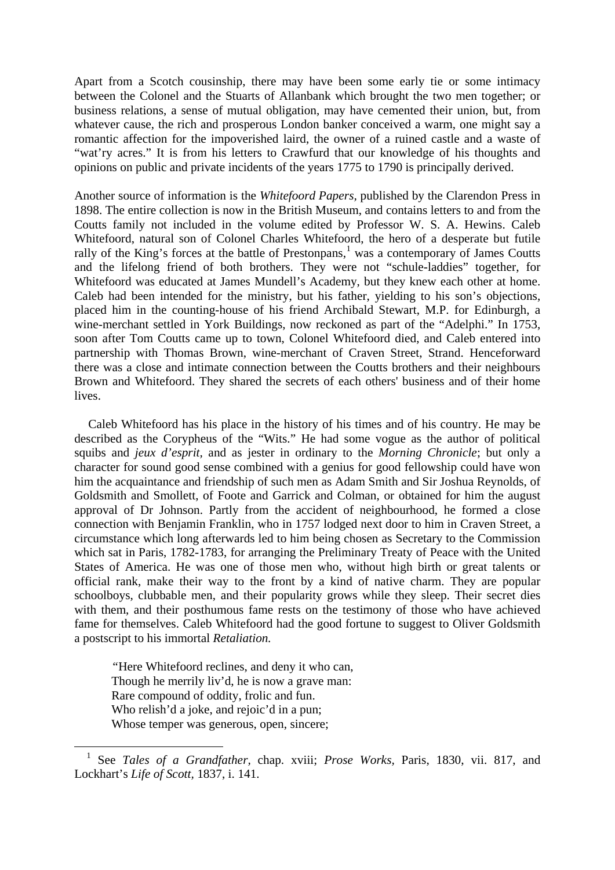Apart from a Scotch cousinship, there may have been some early tie or some intimacy between the Colonel and the Stuarts of Allanbank which brought the two men together; or business relations, a sense of mutual obligation, may have cemented their union, but, from whatever cause, the rich and prosperous London banker conceived a warm, one might say a romantic affection for the impoverished laird, the owner of a ruined castle and a waste of "wat'ry acres." It is from his letters to Crawfurd that our knowledge of his thoughts and opinions on public and private incidents of the years 1775 to 1790 is principally derived.

Another source of information is the *Whitefoord Papers,* published by the Clarendon Press in 1898. The entire collection is now in the British Museum, and contains letters to and from the Coutts family not included in the volume edited by Professor W. S. A. Hewins. Caleb Whitefoord, natural son of Colonel Charles Whitefoord, the hero of a desperate but futile rally of the King's forces at the battle of Prestonpans, $<sup>1</sup>$  $<sup>1</sup>$  $<sup>1</sup>$  was a contemporary of James Coutts</sup> and the lifelong friend of both brothers. They were not "schule-laddies" together, for Whitefoord was educated at James Mundell's Academy, but they knew each other at home. Caleb had been intended for the ministry, but his father, yielding to his son's objections, placed him in the counting-house of his friend Archibald Stewart, M.P. for Edinburgh, a wine-merchant settled in York Buildings, now reckoned as part of the "Adelphi." In 1753, soon after Tom Coutts came up to town, Colonel Whitefoord died, and Caleb entered into partnership with Thomas Brown, wine-merchant of Craven Street, Strand. Henceforward there was a close and intimate connection between the Coutts brothers and their neighbours Brown and Whitefoord. They shared the secrets of each others' business and of their home lives.

Caleb Whitefoord has his place in the history of his times and of his country. He may be described as the Corypheus of the "Wits." He had some vogue as the author of political squibs and *jeux d'esprit,* and as jester in ordinary to the *Morning Chronicle*; but only a character for sound good sense combined with a genius for good fellowship could have won him the acquaintance and friendship of such men as Adam Smith and Sir Joshua Reynolds, of Goldsmith and Smollett, of Foote and Garrick and Colman, or obtained for him the august approval of Dr Johnson. Partly from the accident of neighbourhood, he formed a close connection with Benjamin Franklin, who in 1757 lodged next door to him in Craven Street, a circumstance which long afterwards led to him being chosen as Secretary to the Commission which sat in Paris, 1782-1783, for arranging the Preliminary Treaty of Peace with the United States of America. He was one of those men who, without high birth or great talents or official rank, make their way to the front by a kind of native charm. They are popular schoolboys, clubbable men, and their popularity grows while they sleep. Their secret dies with them, and their posthumous fame rests on the testimony of those who have achieved fame for themselves. Caleb Whitefoord had the good fortune to suggest to Oliver Goldsmith a postscript to his immortal *Retaliation.*

*"*Here Whitefoord reclines, and deny it who can, Though he merrily liv'd, he is now a grave man: Rare compound of oddity, frolic and fun. Who relish'd a joke, and rejoic'd in a pun; Whose temper was generous, open, sincere;

<span id="page-1-0"></span> <sup>1</sup> See *Tales of a Grandfather,* chap. xviii; *Prose Works,* Paris, 1830, vii. 817, and Lockhart's *Life of Scott,* 1837, i. 141.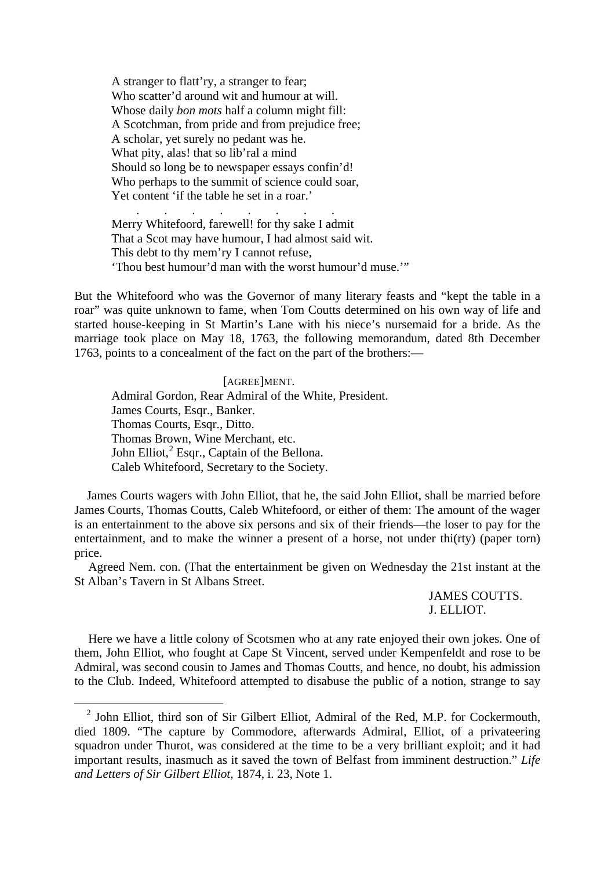A stranger to flatt'ry, a stranger to fear; Who scatter'd around wit and humour at will. Whose daily *bon mots* half a column might fill: A Scotchman, from pride and from prejudice free; A scholar, yet surely no pedant was he. What pity, alas! that so lib'ral a mind Should so long be to newspaper essays confin'd! Who perhaps to the summit of science could soar, Yet content 'if the table he set in a roar.'

 . . . . . . . . Merry Whitefoord, farewell! for thy sake I admit That a Scot may have humour, I had almost said wit. This debt to thy mem'ry I cannot refuse, 'Thou best humour'd man with the worst humour'd muse.'"

But the Whitefoord who was the Governor of many literary feasts and "kept the table in a roar" was quite unknown to fame, when Tom Coutts determined on his own way of life and started house-keeping in St Martin's Lane with his niece's nursemaid for a bride. As the marriage took place on May 18, 1763, the following memorandum, dated 8th December 1763, points to a concealment of the fact on the part of the brothers:—

[AGREE]MENT. Admiral Gordon, Rear Admiral of the White, President. James Courts, Esqr., Banker. Thomas Courts, Esqr., Ditto. Thomas Brown, Wine Merchant, etc. John Elliot, ${}^{2}$  ${}^{2}$  ${}^{2}$  Esqr., Captain of the Bellona. Caleb Whitefoord, Secretary to the Society.

James Courts wagers with John Elliot, that he, the said John Elliot, shall be married before James Courts, Thomas Coutts, Caleb Whitefoord, or either of them: The amount of the wager is an entertainment to the above six persons and six of their friends—the loser to pay for the entertainment, and to make the winner a present of a horse, not under thi(rty) (paper torn) price.

Agreed Nem. con. (That the entertainment be given on Wednesday the 21st instant at the St Alban's Tavern in St Albans Street.

> JAMES COUTTS. J. ELLIOT.

Here we have a little colony of Scotsmen who at any rate enjoyed their own jokes. One of them, John Elliot, who fought at Cape St Vincent, served under Kempenfeldt and rose to be Admiral, was second cousin to James and Thomas Coutts, and hence, no doubt, his admission to the Club. Indeed, Whitefoord attempted to disabuse the public of a notion, strange to say

<span id="page-2-0"></span> $2$  John Elliot, third son of Sir Gilbert Elliot, Admiral of the Red, M.P. for Cockermouth, died 1809. "The capture by Commodore, afterwards Admiral, Elliot, of a privateering squadron under Thurot, was considered at the time to be a very brilliant exploit; and it had important results, inasmuch as it saved the town of Belfast from imminent destruction." *Life and Letters of Sir Gilbert Elliot,* 1874, i. 23, Note 1.